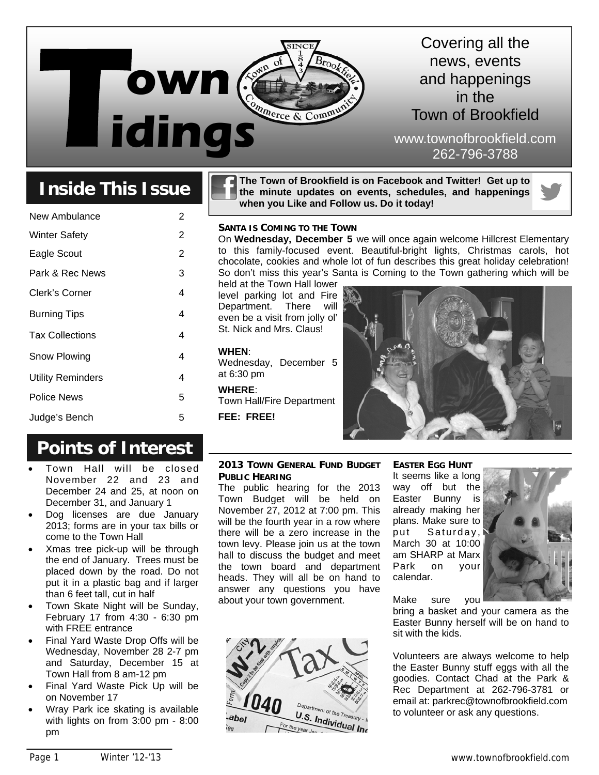

### Covering all the news, events and happenings in the Town of Brookfield

www.townofbrookfield.com 262-796-3788

## **Inside This Issue**

| 2 |
|---|
| 2 |
| 2 |
| 3 |
| 4 |
| 4 |
| 4 |
| 4 |
| 4 |
| 5 |
| 5 |
|   |

## **Points of Interest**

- Town Hall will be closed November 22 and 23 and December 24 and 25, at noon on December 31, and January 1
- Dog licenses are due January 2013; forms are in your tax bills or come to the Town Hall
- Xmas tree pick-up will be through the end of January. Trees must be placed down by the road. Do not put it in a plastic bag and if larger than 6 feet tall, cut in half
- Town Skate Night will be Sunday, February 17 from 4:30 - 6:30 pm with FREE entrance
- Final Yard Waste Drop Offs will be Wednesday, November 28 2-7 pm and Saturday, December 15 at Town Hall from 8 am-12 pm
- Final Yard Waste Pick Up will be on November 17
- Wray Park ice skating is available with lights on from 3:00 pm - 8:00 pm

**The Town of Brookfield is on Facebook and Twitter! Get up to the minute updates on events, schedules, and happenings when you Like and Follow us. Do it today!** 

#### **SANTA IS COMING TO THE TOWN**

On **Wednesday, December 5** we will once again welcome Hillcrest Elementary to this family-focused event. Beautiful-bright lights, Christmas carols, hot chocolate, cookies and whole lot of fun describes this great holiday celebration! So don't miss this year's Santa is Coming to the Town gathering which will be

held at the Town Hall lower level parking lot and Fire Department. There will even be a visit from jolly ol' St. Nick and Mrs. Claus!

#### **WHEN**:

Wednesday, December 5 at 6:30 pm

**WHERE**: Town Hall/Fire Department **FEE: FREE!**



#### **2013 TOWN GENERAL FUND BUDGET PUBLIC HEARING**

The public hearing for the 2013 Town Budget will be held on November 27, 2012 at 7:00 pm. This will be the fourth year in a row where there will be a zero increase in the town levy. Please join us at the town hall to discuss the budget and meet the town board and department heads. They will all be on hand to answer any questions you have about your town government.



**EASTER EGG HUNT** It seems like a long way off but the Easter Bunny is already making her plans. Make sure to put Saturday, March 30 at 10:00 am SHARP at Marx Park on your calendar.



Make sure you

bring a basket and your camera as the Easter Bunny herself will be on hand to sit with the kids.

Volunteers are always welcome to help the Easter Bunny stuff eggs with all the goodies. Contact Chad at the Park & Rec Department at 262-796-3781 or email at: parkrec@townofbrookfield.com to volunteer or ask any questions.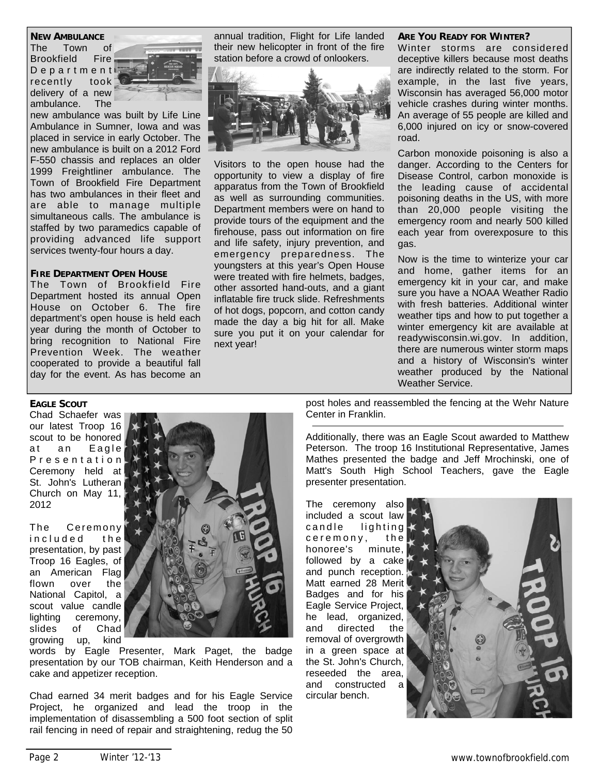#### **NEW AMBULANCE**

The Town of Brookfield Fire D e p a r t m e n t recently took delivery of a new ambulance. The



new ambulance was built by Life Line Ambulance in Sumner, Iowa and was placed in service in early October. The new ambulance is built on a 2012 Ford F-550 chassis and replaces an older 1999 Freightliner ambulance. The Town of Brookfield Fire Department has two ambulances in their fleet and are able to manage multiple simultaneous calls. The ambulance is staffed by two paramedics capable of providing advanced life support services twenty-four hours a day.

#### **FIRE DEPARTMENT OPEN HOUSE**

The Town of Brookfield Fire Department hosted its annual Open House on October 6. The fire department's open house is held each year during the month of October to bring recognition to National Fire Prevention Week. The weather cooperated to provide a beautiful fall day for the event. As has become an

annual tradition, Flight for Life landed their new helicopter in front of the fire station before a crowd of onlookers.



Visitors to the open house had the opportunity to view a display of fire apparatus from the Town of Brookfield as well as surrounding communities. Department members were on hand to provide tours of the equipment and the firehouse, pass out information on fire and life safety, injury prevention, and emergency preparedness. The youngsters at this year's Open House were treated with fire helmets, badges, other assorted hand-outs, and a giant inflatable fire truck slide. Refreshments of hot dogs, popcorn, and cotton candy made the day a big hit for all. Make sure you put it on your calendar for next year!

#### **ARE YOU READY FOR WINTER?**

Winter storms are considered deceptive killers because most deaths are indirectly related to the storm. For example, in the last five years, Wisconsin has averaged 56,000 motor vehicle crashes during winter months. An average of 55 people are killed and 6,000 injured on icy or snow-covered road.

Carbon monoxide poisoning is also a danger. According to the Centers for Disease Control, carbon monoxide is the leading cause of accidental poisoning deaths in the US, with more than 20,000 people visiting the emergency room and nearly 500 killed each year from overexposure to this gas.

Now is the time to winterize your car and home, gather items for an emergency kit in your car, and make sure you have a NOAA Weather Radio with fresh batteries. Additional winter weather tips and how to put together a winter emergency kit are available at readywisconsin.wi.gov. In addition, there are numerous winter storm maps and a history of Wisconsin's winter weather produced by the National Weather Service.

**EAGLE SCOUT**

Chad Schaefer was our latest Troop 16 scout to be honored at an Eagle P r e s e n t a t i o n Ceremony held at St. John's Lutheran Church on May 11, 2012

The Ceremony included the presentation, by past Troop 16 Eagles, of an American Flag flown over the National Capitol, a scout value candle lighting ceremony, slides of Chad growing up, kind



words by Eagle Presenter, Mark Paget, the badge presentation by our TOB chairman, Keith Henderson and a cake and appetizer reception.

Chad earned 34 merit badges and for his Eagle Service Project, he organized and lead the troop in the implementation of disassembling a 500 foot section of split rail fencing in need of repair and straightening, redug the 50

post holes and reassembled the fencing at the Wehr Nature Center in Franklin.

Additionally, there was an Eagle Scout awarded to Matthew Peterson. The troop 16 Institutional Representative, James Mathes presented the badge and Jeff Mrochinski, one of Matt's South High School Teachers, gave the Eagle presenter presentation.

The ceremony also included a scout law  $c$  and  $e$  lighting  $c$  e  $r$  e m o n  $y$ , the honoree's minute, followed by a cake and punch reception. Matt earned 28 Merit Badges and for his Eagle Service Project, he lead, organized, and directed the removal of overgrowth in a green space at the St. John's Church, reseeded the area, and constructed a circular bench.

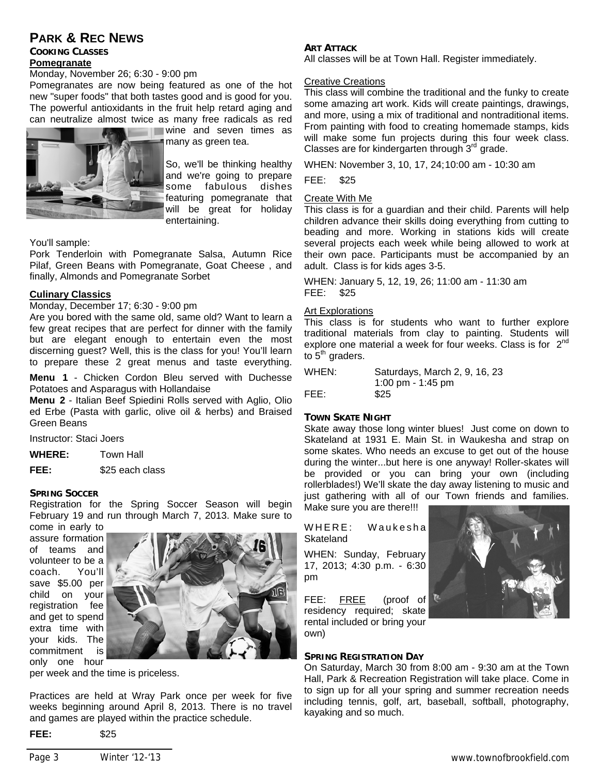#### **PARK & REC NEWS**

#### **COOKING CLASSES Pomegranate**

Monday, November 26; 6:30 - 9:00 pm

Pomegranates are now being featured as one of the hot new "super foods" that both tastes good and is good for you. The powerful antioxidants in the fruit help retard aging and can neutralize almost twice as many free radicals as red



**Wine and seven times as** many as green tea.

> So, we'll be thinking healthy and we're going to prepare some fabulous dishes featuring pomegranate that will be great for holiday entertaining.

You'll sample:

Pork Tenderloin with Pomegranate Salsa, Autumn Rice Pilaf, Green Beans with Pomegranate, Goat Cheese , and finally, Almonds and Pomegranate Sorbet

#### **Culinary Classics**

Monday, December 17; 6:30 - 9:00 pm

Are you bored with the same old, same old? Want to learn a few great recipes that are perfect for dinner with the family but are elegant enough to entertain even the most discerning guest? Well, this is the class for you! You'll learn to prepare these 2 great menus and taste everything.

**Menu 1** - Chicken Cordon Bleu served with Duchesse Potatoes and Asparagus with Hollandaise

**Menu 2** - Italian Beef Spiedini Rolls served with Aglio, Olio ed Erbe (Pasta with garlic, olive oil & herbs) and Braised Green Beans

Instructor: Staci Joers

**WHERE:** Town Hall

**FEE:** \$25 each class

#### **SPRING SOCCER**

Registration for the Spring Soccer Season will begin February 19 and run through March 7, 2013. Make sure to

come in early to assure formation of teams and volunteer to be a coach. You'll save \$5.00 per child on your registration fee and get to spend extra time with your kids. The commitment is only one hour



per week and the time is priceless.

Practices are held at Wray Park once per week for five weeks beginning around April 8, 2013. There is no travel and games are played within the practice schedule.

#### **ART ATTACK**

All classes will be at Town Hall. Register immediately.

#### Creative Creations

This class will combine the traditional and the funky to create some amazing art work. Kids will create paintings, drawings, and more, using a mix of traditional and nontraditional items. From painting with food to creating homemade stamps, kids will make some fun projects during this four week class. Classes are for kindergarten through  $3<sup>rd</sup>$  grade.

WHEN: November 3, 10, 17, 24; 10:00 am - 10:30 am

FEE: \$25

#### Create With Me

This class is for a guardian and their child. Parents will help children advance their skills doing everything from cutting to beading and more. Working in stations kids will create several projects each week while being allowed to work at their own pace. Participants must be accompanied by an adult. Class is for kids ages 3-5.

WHEN: January 5, 12, 19, 26; 11:00 am - 11:30 am FEE: \$25

#### Art Explorations

This class is for students who want to further explore traditional materials from clay to painting. Students will explore one material a week for four weeks. Class is for 2<sup>nd</sup> to  $5<sup>th</sup>$  graders.

| WHEN: | Saturdays, March 2, 9, 16, 23 |
|-------|-------------------------------|
|       | 1:00 pm - 1:45 pm             |
| FEE:  | \$25                          |

#### **TOWN SKATE NIGHT**

Skate away those long winter blues! Just come on down to Skateland at 1931 E. Main St. in Waukesha and strap on some skates. Who needs an excuse to get out of the house during the winter...but here is one anyway! Roller-skates will be provided or you can bring your own (including rollerblades!) We'll skate the day away listening to music and just gathering with all of our Town friends and families.

Make sure you are there!!!

WHERE: Waukesha **Skateland** 

WHEN: Sunday, February 17, 2013; 4:30 p.m. - 6:30 pm

FEE: FREE (proof of residency required; skate rental included or bring your own)

#### **SPRING REGISTRATION DAY**

On Saturday, March 30 from 8:00 am - 9:30 am at the Town Hall, Park & Recreation Registration will take place. Come in to sign up for all your spring and summer recreation needs including tennis, golf, art, baseball, softball, photography, kayaking and so much.

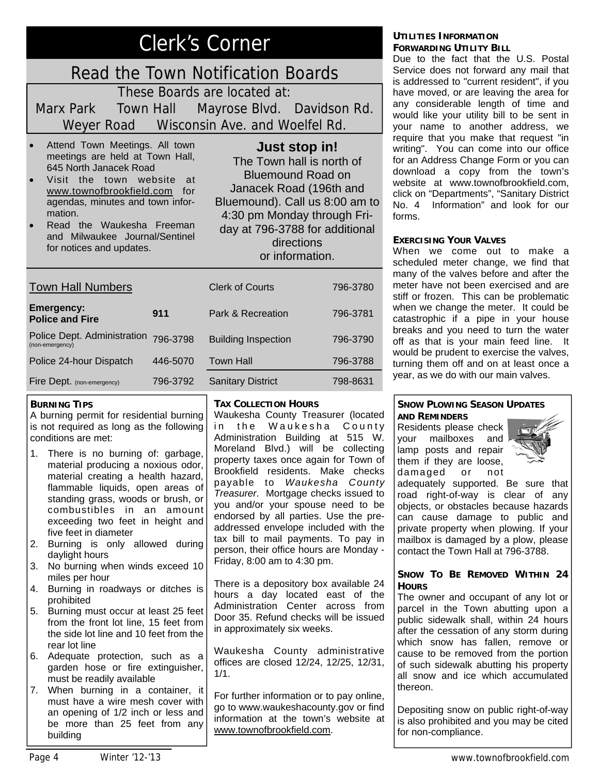## Clerk's Corner

## Read the Town Notification Boards

These Boards are located at: Marx Park Town Hall Mayrose Blvd. Davidson Rd. Weyer Road Wisconsin Ave. and Woelfel Rd.

- Attend Town Meetings. All town meetings are held at Town Hall, 645 North Janacek Road
- Visit the town website at www.townofbrookfield.com for agendas, minutes and town information.
- Read the Waukesha Freeman and Milwaukee Journal/Sentinel for notices and updates.

#### **Just stop in!**

The Town hall is north of Bluemound Road on Janacek Road (196th and Bluemound). Call us 8:00 am to 4:30 pm Monday through Friday at 796-3788 for additional directions or information.

| <b>Town Hall Numbers</b>                       |          | <b>Clerk of Courts</b>     | 796-3780 |
|------------------------------------------------|----------|----------------------------|----------|
| <b>Emergency:</b><br><b>Police and Fire</b>    | 911      | Park & Recreation          | 796-3781 |
| Police Dept. Administration<br>(non-emergency) | 796-3798 | <b>Building Inspection</b> | 796-3790 |
| Police 24-hour Dispatch                        | 446-5070 | <b>Town Hall</b>           | 796-3788 |
| Fire Dept. (non-emergency)                     | 796-3792 | <b>Sanitary District</b>   | 798-8631 |

#### **BURNING TIPS**

A burning permit for residential burning is not required as long as the following conditions are met:

- 1. There is no burning of: garbage, material producing a noxious odor, material creating a health hazard, flammable liquids, open areas of standing grass, woods or brush, or combustibles in an amount exceeding two feet in height and five feet in diameter
- 2. Burning is only allowed during daylight hours
- 3. No burning when winds exceed 10 miles per hour
- 4. Burning in roadways or ditches is prohibited
- 5. Burning must occur at least 25 feet from the front lot line, 15 feet from the side lot line and 10 feet from the rear lot line
- 6. Adequate protection, such as a garden hose or fire extinguisher, must be readily available
- 7. When burning in a container, it must have a wire mesh cover with an opening of 1/2 inch or less and be more than 25 feet from any building

#### **TAX COLLECTION HOURS**

Waukesha County Treasurer (located in the Waukesha County Administration Building at 515 W. Moreland Blvd.) will be collecting property taxes once again for Town of Brookfield residents. Make checks payable to *Waukesha County Treasurer*. Mortgage checks issued to you and/or your spouse need to be endorsed by all parties. Use the preaddressed envelope included with the tax bill to mail payments. To pay in person, their office hours are Monday - Friday, 8:00 am to 4:30 pm.

There is a depository box available 24 hours a day located east of the Administration Center across from Door 35. Refund checks will be issued in approximately six weeks.

Waukesha County administrative offices are closed 12/24, 12/25, 12/31, 1/1.

For further information or to pay online, go to www.waukeshacounty.gov or find information at the town's website at www.townofbrookfield.com.

#### **UTILITIES INFORMATION FORWARDING UTILITY BILL**

Due to the fact that the U.S. Postal Service does not forward any mail that is addressed to "current resident", if you have moved, or are leaving the area for any considerable length of time and would like your utility bill to be sent in your name to another address, we require that you make that request "in writing". You can come into our office for an Address Change Form or you can download a copy from the town's website at www.townofbrookfield.com, click on "Departments", "Sanitary District No. 4 Information" and look for our forms.

#### **EXERCISING YOUR VALVES**

When we come out to make a scheduled meter change, we find that many of the valves before and after the meter have not been exercised and are stiff or frozen. This can be problematic when we change the meter. It could be catastrophic if a pipe in your house breaks and you need to turn the water off as that is your main feed line. It would be prudent to exercise the valves, turning them off and on at least once a year, as we do with our main valves.

#### **SNOW PLOWING SEASON UPDATES AND REMINDERS**

Residents please check your mailboxes and lamp posts and repair them if they are loose, damaged or not



adequately supported. Be sure that road right-of-way is clear of any objects, or obstacles because hazards can cause damage to public and private property when plowing. If your mailbox is damaged by a plow, please contact the Town Hall at 796-3788.

#### **SNOW TO BE REMOVED WITHIN 24 HOURS**

The owner and occupant of any lot or parcel in the Town abutting upon a public sidewalk shall, within 24 hours after the cessation of any storm during which snow has fallen, remove or cause to be removed from the portion of such sidewalk abutting his property all snow and ice which accumulated thereon.

Depositing snow on public right-of-way is also prohibited and you may be cited for non-compliance.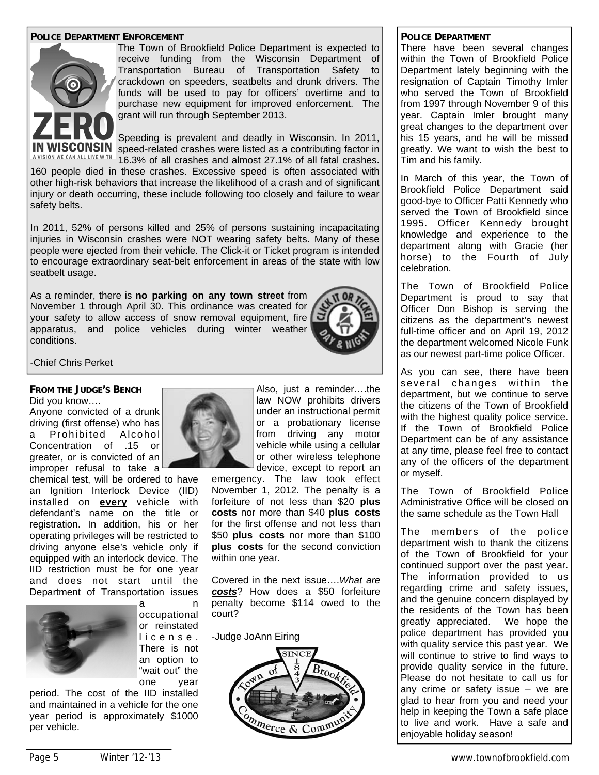#### **POLICE DEPARTMENT ENFORCEMENT**



The Town of Brookfield Police Department is expected to receive funding from the Wisconsin Department of Transportation Bureau of Transportation Safety to crackdown on speeders, seatbelts and drunk drivers. The funds will be used to pay for officers' overtime and to purchase new equipment for improved enforcement. The grant will run through September 2013.

Speeding is prevalent and deadly in Wisconsin. In 2011, **CONSIN** speed-related crashes were listed as a contributing factor in 16.3% of all crashes and almost 27.1% of all fatal crashes.

160 people died in these crashes. Excessive speed is often associated with other high-risk behaviors that increase the likelihood of a crash and of significant injury or death occurring, these include following too closely and failure to wear safety belts.

In 2011, 52% of persons killed and 25% of persons sustaining incapacitating injuries in Wisconsin crashes were NOT wearing safety belts. Many of these people were ejected from their vehicle. The Click-it or Ticket program is intended to encourage extraordinary seat-belt enforcement in areas of the state with low seatbelt usage.

As a reminder, there is **no parking on any town street** from November 1 through April 30. This ordinance was created for your safety to allow access of snow removal equipment, fire apparatus, and police vehicles during winter weather conditions.



-Chief Chris Perket

#### **FROM THE JUDGE'S BENCH**

Did you know…. Anyone convicted of a drunk driving (first offense) who has a Prohibited Alcohol

Concentration of .15 or greater, or is convicted of an improper refusal to take a

chemical test, will be ordered to have an Ignition Interlock Device (IID) installed on **every** vehicle with defendant's name on the title or registration. In addition, his or her operating privileges will be restricted to driving anyone else's vehicle only if equipped with an interlock device. The IID restriction must be for one year and does not start until the Department of Transportation issues a n



occupational or reinstated l i c e n s e . There is not an option to "wait out" the one year

period. The cost of the IID installed and maintained in a vehicle for the one year period is approximately \$1000 per vehicle.



Also, just a reminder….the law NOW prohibits drivers under an instructional permit or a probationary license from driving any motor vehicle while using a cellular or other wireless telephone device, except to report an

emergency. The law took effect November 1, 2012. The penalty is a forfeiture of not less than \$20 **plus costs** nor more than \$40 **plus costs** for the first offense and not less than \$50 **plus costs** nor more than \$100 **plus costs** for the second conviction within one year.

Covered in the next issue….*What are costs*? How does a \$50 forfeiture penalty become \$114 owed to the court?

-Judge JoAnn Eiring



#### **POLICE DEPARTMENT**

There have been several changes within the Town of Brookfield Police Department lately beginning with the resignation of Captain Timothy Imler who served the Town of Brookfield from 1997 through November 9 of this year. Captain Imler brought many great changes to the department over his 15 years, and he will be missed greatly. We want to wish the best to Tim and his family.

In March of this year, the Town of Brookfield Police Department said good-bye to Officer Patti Kennedy who served the Town of Brookfield since 1995. Officer Kennedy brought knowledge and experience to the department along with Gracie (her horse) to the Fourth of July celebration.

The Town of Brookfield Police Department is proud to say that Officer Don Bishop is serving the citizens as the department's newest full-time officer and on April 19, 2012 the department welcomed Nicole Funk as our newest part-time police Officer.

As you can see, there have been several changes within the department, but we continue to serve the citizens of the Town of Brookfield with the highest quality police service. If the Town of Brookfield Police Department can be of any assistance at any time, please feel free to contact any of the officers of the department or myself.

The Town of Brookfield Police Administrative Office will be closed on the same schedule as the Town Hall

The members of the police department wish to thank the citizens of the Town of Brookfield for your continued support over the past year. The information provided to us regarding crime and safety issues, and the genuine concern displayed by the residents of the Town has been greatly appreciated. We hope the police department has provided you with quality service this past year. We will continue to strive to find ways to provide quality service in the future. Please do not hesitate to call us for any crime or safety issue – we are glad to hear from you and need your help in keeping the Town a safe place to live and work. Have a safe and enjoyable holiday season!